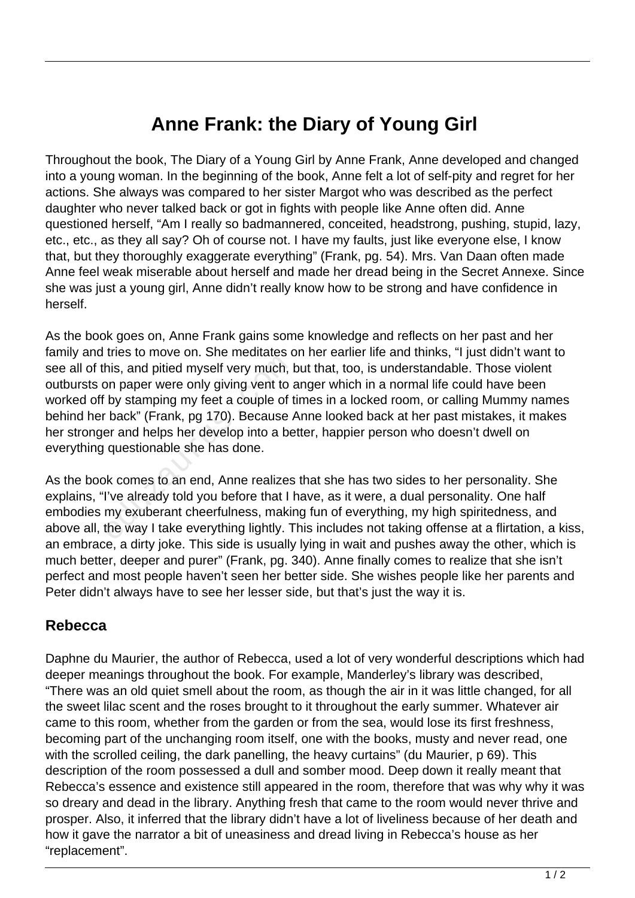## **Anne Frank: the Diary of Young Girl**

Throughout the book, The Diary of a Young Girl by Anne Frank, Anne developed and changed into a young woman. In the beginning of the book, Anne felt a lot of self-pity and regret for her actions. She always was compared to her sister Margot who was described as the perfect daughter who never talked back or got in fights with people like Anne often did. Anne questioned herself, "Am I really so badmannered, conceited, headstrong, pushing, stupid, lazy, etc., etc., as they all say? Oh of course not. I have my faults, just like everyone else, I know that, but they thoroughly exaggerate everything" (Frank, pg. 54). Mrs. Van Daan often made Anne feel weak miserable about herself and made her dread being in the Secret Annexe. Since she was just a young girl, Anne didn't really know how to be strong and have confidence in herself.

As the book goes on, Anne Frank gains some knowledge and reflects on her past and her family and tries to move on. She meditates on her earlier life and thinks, "I just didn't want to see all of this, and pitied myself very much, but that, too, is understandable. Those violent outbursts on paper were only giving vent to anger which in a normal life could have been worked off by stamping my feet a couple of times in a locked room, or calling Mummy names behind her back" (Frank, pg 170). Because Anne looked back at her past mistakes, it makes her stronger and helps her develop into a better, happier person who doesn't dwell on everything questionable she has done. his, and pitied myself very much, I<br>bn paper were only giving vent to a<br>by stamping my feet a couple of t<br>back" (Frank, pg 170). Because  $\alpha$ <br>er and helps her develop into a be<br>questionable she has done.<br>wk comes to an end

As the book comes to an end, Anne realizes that she has two sides to her personality. She explains, "I've already told you before that I have, as it were, a dual personality. One half embodies my exuberant cheerfulness, making fun of everything, my high spiritedness, and above all, the way I take everything lightly. This includes not taking offense at a flirtation, a kiss, an embrace, a dirty joke. This side is usually lying in wait and pushes away the other, which is much better, deeper and purer" (Frank, pg. 340). Anne finally comes to realize that she isn't perfect and most people haven't seen her better side. She wishes people like her parents and Peter didn't always have to see her lesser side, but that's just the way it is.

## **Rebecca**

Daphne du Maurier, the author of Rebecca, used a lot of very wonderful descriptions which had deeper meanings throughout the book. For example, Manderley's library was described, "There was an old quiet smell about the room, as though the air in it was little changed, for all the sweet lilac scent and the roses brought to it throughout the early summer. Whatever air came to this room, whether from the garden or from the sea, would lose its first freshness, becoming part of the unchanging room itself, one with the books, musty and never read, one with the scrolled ceiling, the dark panelling, the heavy curtains" (du Maurier, p 69). This description of the room possessed a dull and somber mood. Deep down it really meant that Rebecca's essence and existence still appeared in the room, therefore that was why why it was so dreary and dead in the library. Anything fresh that came to the room would never thrive and prosper. Also, it inferred that the library didn't have a lot of liveliness because of her death and how it gave the narrator a bit of uneasiness and dread living in Rebecca's house as her "replacement".